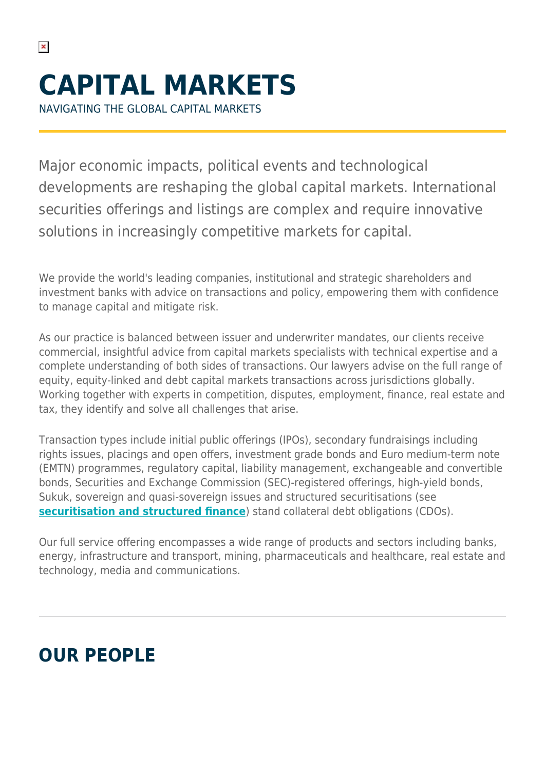NAVIGATING THE GLOBAL CAPITAL MARKETS

 $\pmb{\times}$ 

Major economic impacts, political events and technological developments are reshaping the global capital markets. International securities offerings and listings are complex and require innovative solutions in increasingly competitive markets for capital.

We provide the world's leading companies, institutional and strategic shareholders and investment banks with advice on transactions and policy, empowering them with confidence to manage capital and mitigate risk.

As our practice is balanced between issuer and underwriter mandates, our clients receive commercial, insightful advice from capital markets specialists with technical expertise and a complete understanding of both sides of transactions. Our lawyers advise on the full range of equity, equity-linked and debt capital markets transactions across jurisdictions globally. Working together with experts in competition, disputes, employment, finance, real estate and tax, they identify and solve all challenges that arise.

Transaction types include initial public offerings (IPOs), secondary fundraisings including rights issues, placings and open offers, investment grade bonds and Euro medium-term note (EMTN) programmes, regulatory capital, liability management, exchangeable and convertible bonds, Securities and Exchange Commission (SEC)-registered offerings, high-yield bonds, Sukuk, sovereign and quasi-sovereign issues and structured securitisations (see **[securitisation and structured finance](https://www.herbertsmithfreehills.com/our-expertise/services/securitisation-and-structured-finance)**) stand collateral debt obligations (CDOs).

Our full service offering encompasses a wide range of products and sectors including banks, energy, infrastructure and transport, mining, pharmaceuticals and healthcare, real estate and technology, media and communications.

## **OUR PEOPLE**